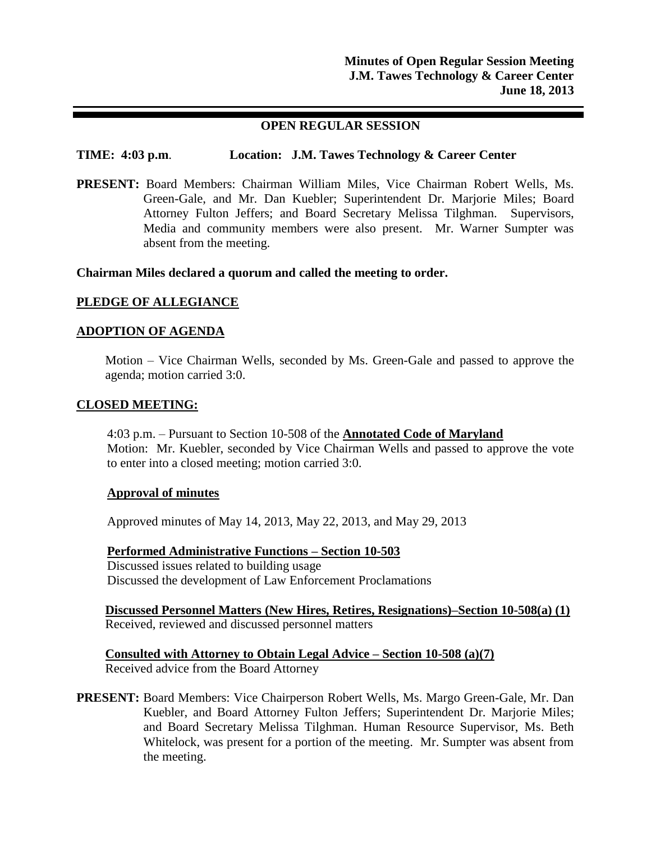# **OPEN REGULAR SESSION**

# **TIME: 4:03 p.m**. **Location: J.M. Tawes Technology & Career Center**

**PRESENT:** Board Members: Chairman William Miles, Vice Chairman Robert Wells, Ms. Green-Gale, and Mr. Dan Kuebler; Superintendent Dr. Marjorie Miles; Board Attorney Fulton Jeffers; and Board Secretary Melissa Tilghman. Supervisors, Media and community members were also present. Mr. Warner Sumpter was absent from the meeting.

### **Chairman Miles declared a quorum and called the meeting to order.**

## **PLEDGE OF ALLEGIANCE**

## **ADOPTION OF AGENDA**

Motion – Vice Chairman Wells, seconded by Ms. Green-Gale and passed to approve the agenda; motion carried 3:0.

### **CLOSED MEETING:**

4:03 p.m. – Pursuant to Section 10-508 of the **Annotated Code of Maryland** Motion: Mr. Kuebler, seconded by Vice Chairman Wells and passed to approve the vote to enter into a closed meeting; motion carried 3:0.

#### **Approval of minutes**

Approved minutes of May 14, 2013, May 22, 2013, and May 29, 2013

**Performed Administrative Functions – Section 10-503** Discussed issues related to building usage Discussed the development of Law Enforcement Proclamations

**Discussed Personnel Matters (New Hires, Retires, Resignations)–Section 10-508(a) (1)** Received, reviewed and discussed personnel matters

**Consulted with Attorney to Obtain Legal Advice – Section 10-508 (a)(7)** Received advice from the Board Attorney

**PRESENT:** Board Members: Vice Chairperson Robert Wells, Ms. Margo Green-Gale, Mr. Dan Kuebler, and Board Attorney Fulton Jeffers; Superintendent Dr. Marjorie Miles; and Board Secretary Melissa Tilghman. Human Resource Supervisor, Ms. Beth Whitelock, was present for a portion of the meeting. Mr. Sumpter was absent from the meeting.